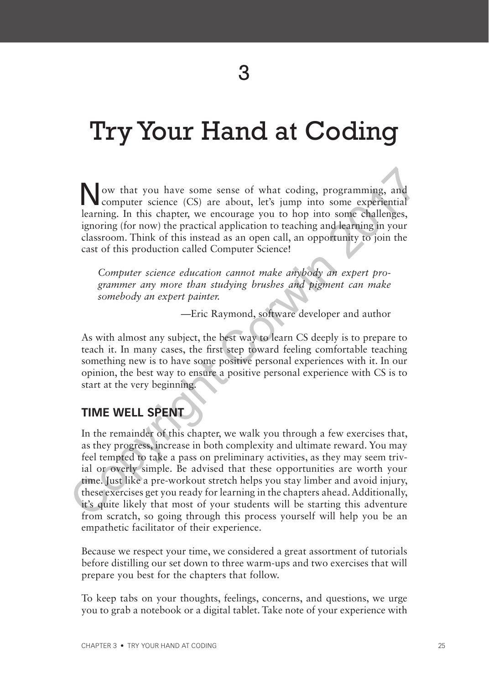# Try Your Hand at Coding

Now that you have some sense of what coding, programming, and computer science (CS) are about, let's jump into some experiential learning. In this chapter, we encourage you to hop into some challenges, ignoring (for now) the practical application to teaching and learning in your classroom. Think of this instead as an open call, an opportunity to join the cast of this production called Computer Science!

*Computer science education cannot make anybody an expert programmer any more than studying brushes and pigment can make somebody an expert painter.*

—Eric Raymond, software developer and author

As with almost any subject, the best way to learn CS deeply is to prepare to teach it. In many cases, the first step toward feeling comfortable teaching something new is to have some positive personal experiences with it. In our opinion, the best way to ensure a positive personal experience with CS is to start at the very beginning.

## **TIME WELL SPENT**

In the remainder of this chapter, we walk you through a few exercises that, as they progress, increase in both complexity and ultimate reward. You may feel tempted to take a pass on preliminary activities, as they may seem trivial or overly simple. Be advised that these opportunities are worth your time. Just like a pre-workout stretch helps you stay limber and avoid injury, these exercises get you ready for learning in the chapters ahead. Additionally, it's quite likely that most of your students will be starting this adventure from scratch, so going through this process yourself will help you be an empathetic facilitator of their experience. Now that you have some sense of what coding, programming, and<br>
learning. In this chapter, we encourage you to hop into some experiential<br>
learning. In this chapter, we encourage you to hop into some challenges,<br>
signoring

Because we respect your time, we considered a great assortment of tutorials before distilling our set down to three warm-ups and two exercises that will prepare you best for the chapters that follow.

To keep tabs on your thoughts, feelings, concerns, and questions, we urge you to grab a notebook or a digital tablet. Take note of your experience with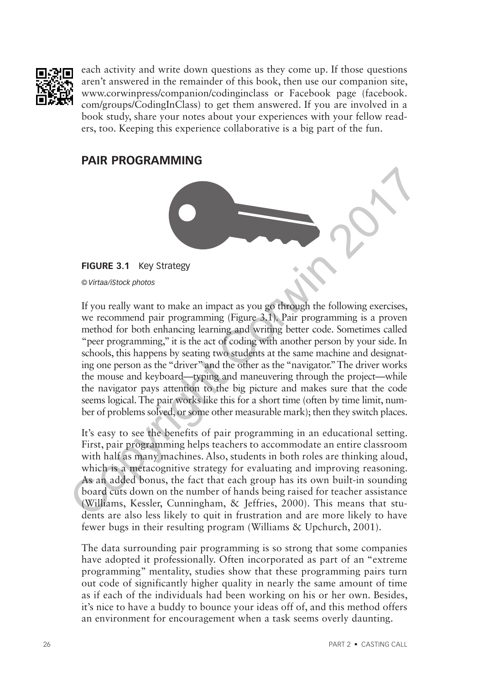

each activity and write down questions as they come up. If those questions aren't answered in the remainder of this book, then use our companion site, www.corwinpress/companion/codinginclass or Facebook page (facebook. com/groups/CodingInClass) to get them answered. If you are involved in a book study, share your notes about your experiences with your fellow readers, too. Keeping this experience collaborative is a big part of the fun.

### **PAIR PROGRAMMING**



If you really want to make an impact as you go through the following exercises, we recommend pair programming (Figure 3.1). Pair programming is a proven method for both enhancing learning and writing better code. Sometimes called "peer programming," it is the act of coding with another person by your side. In schools, this happens by seating two students at the same machine and designating one person as the "driver" and the other as the "navigator." The driver works the mouse and keyboard—typing and maneuvering through the project—while the navigator pays attention to the big picture and makes sure that the code seems logical. The pair works like this for a short time (often by time limit, number of problems solved, or some other measurable mark); then they switch places. FIGURE 3.1 Key Strategy<br>
we virtaa/Stock photos<br>
If you really want to make an impact as you go through the following exercises,<br>
we recommend part programming (Figure 3.1), Pair programming is a proven<br>
method for both e

It's easy to see the benefits of pair programming in an educational setting. First, pair programming helps teachers to accommodate an entire classroom with half as many machines. Also, students in both roles are thinking aloud, which is a metacognitive strategy for evaluating and improving reasoning. As an added bonus, the fact that each group has its own built-in sounding board cuts down on the number of hands being raised for teacher assistance (Williams, Kessler, Cunningham, & Jeffries, 2000). This means that students are also less likely to quit in frustration and are more likely to have fewer bugs in their resulting program (Williams & Upchurch, 2001).

The data surrounding pair programming is so strong that some companies have adopted it professionally. Often incorporated as part of an "extreme programming" mentality, studies show that these programming pairs turn out code of significantly higher quality in nearly the same amount of time as if each of the individuals had been working on his or her own. Besides, it's nice to have a buddy to bounce your ideas off of, and this method offers an environment for encouragement when a task seems overly daunting.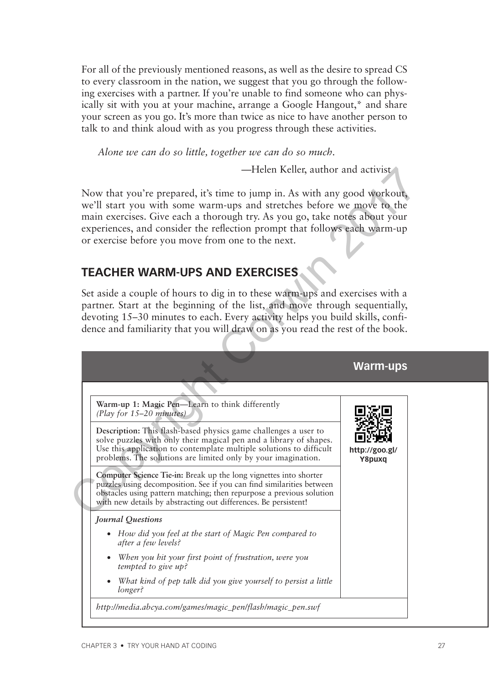For all of the previously mentioned reasons, as well as the desire to spread CS to every classroom in the nation, we suggest that you go through the following exercises with a partner. If you're unable to find someone who can physically sit with you at your machine, arrange a Google Hangout,\* and share your screen as you go. It's more than twice as nice to have another person to talk to and think aloud with as you progress through these activities.

*Alone we can do so little, together we can do so much.*

—Helen Keller, author and activist

Now that you're prepared, it's time to jump in. As with any good workout, we'll start you with some warm-ups and stretches before we move to the main exercises. Give each a thorough try. As you go, take notes about your experiences, and consider the reflection prompt that follows each warm-up or exercise before you move from one to the next.

## **TEACHER WARM-UPS AND EXERCISES**

Set aside a couple of hours to dig in to these warm-ups and exercises with a partner. Start at the beginning of the list, and move through sequentially, devoting 15–30 minutes to each. Every activity helps you build skills, confidence and familiarity that you will draw on as you read the rest of the book.

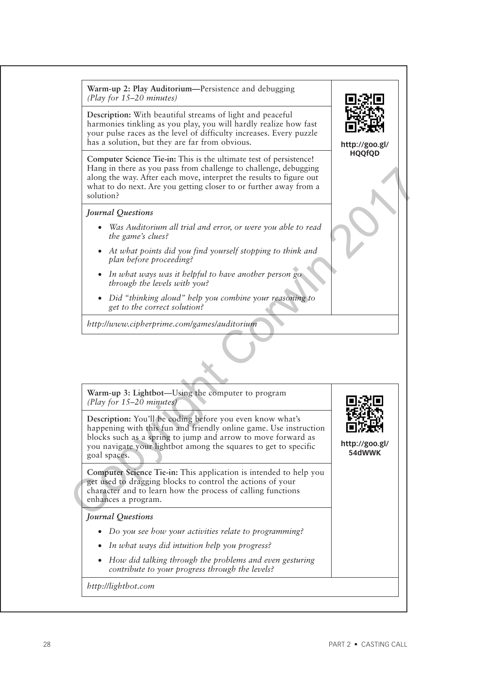**Warm-up 2: Play Auditorium—**Persistence and debugging *(Play for 15–20 minutes)*

**Description:** With beautiful streams of light and peaceful harmonies tinkling as you play, you will hardly realize how fast your pulse races as the level of difficulty increases. Every puzzle has a solution, but they are far from obvious.

**Computer Science Tie-in:** This is the ultimate test of persistence! Hang in there as you pass from challenge to challenge, debugging along the way. After each move, interpret the results to figure out what to do next. Are you getting closer to or further away from a solution?

*Journal Questions*

**W**

- *Was Auditorium all trial and error, or were you able to read the game's clues?*
- • *At what points did you find yourself stopping to think and plan before proceeding?*
- • *In what ways was it helpful to have another person go through the levels with you?*
- • *Did "thinking aloud" help you combine your reasoning to get to the correct solution?*

*http://www.cipherprime.com/games/auditorium*





**http://goo.gl/ HQQfQD**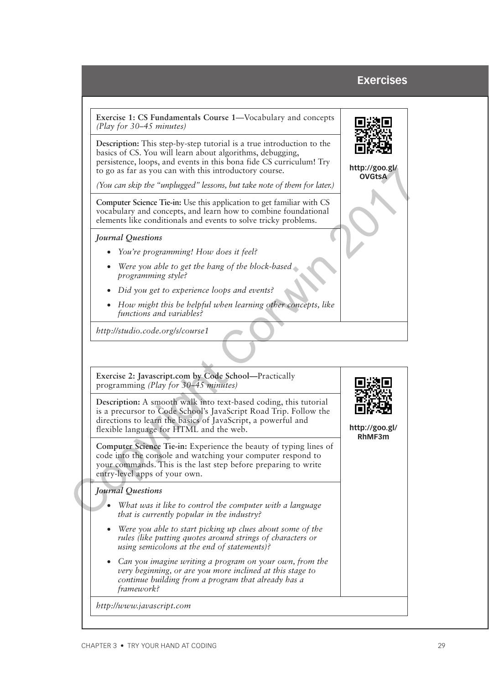#### **Exercises**

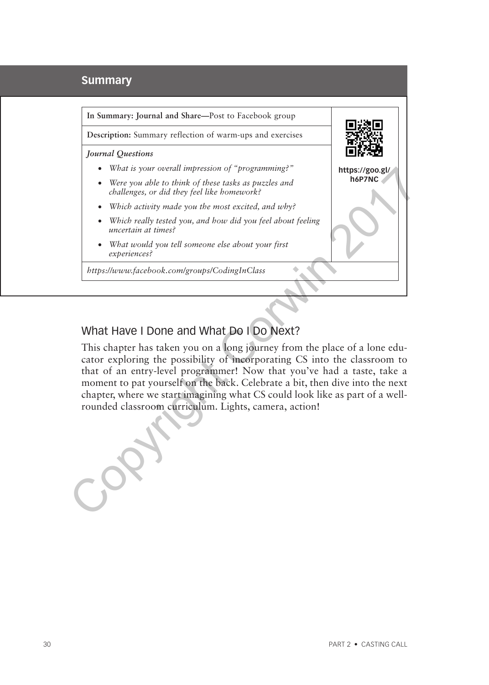#### **Summary**

**W**



## What Have I Done and What Do I Do Next?

This chapter has taken you on a long journey from the place of a lone educator exploring the possibility of incorporating CS into the classroom to that of an entry-level programmer! Now that you've had a taste, take a moment to pat yourself on the back. Celebrate a bit, then dive into the next chapter, where we start imagining what CS could look like as part of a wellrounded classroom curriculum. Lights, camera, action!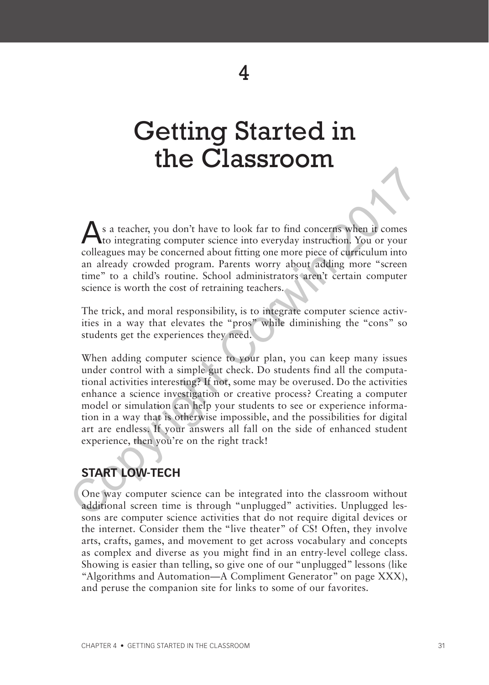# Getting Started in the Classroom

s a teacher, you don't have to look far to find concerns when it comes to integrating computer science into everyday instruction. You or your colleagues may be concerned about fitting one more piece of curriculum into an already crowded program. Parents worry about adding more "screen time" to a child's routine. School administrators aren't certain computer science is worth the cost of retraining teachers.

The trick, and moral responsibility, is to integrate computer science activities in a way that elevates the "pros" while diminishing the "cons" so students get the experiences they need.

When adding computer science to your plan, you can keep many issues under control with a simple gut check. Do students find all the computational activities interesting? If not, some may be overused. Do the activities enhance a science investigation or creative process? Creating a computer model or simulation can help your students to see or experience information in a way that is otherwise impossible, and the possibilities for digital art are endless. If your answers all fall on the side of enhanced student experience, then you're on the right track! **A** sa teacher, you don't have to look far to find concerns when it comes<br>colleagues may be concerned about fitting one more piece of curficulum into<br>an already crowded program. Parents worry about adding more "screen<br>time

# **START LOW-TECH**

One way computer science can be integrated into the classroom without additional screen time is through "unplugged" activities. Unplugged lessons are computer science activities that do not require digital devices or the internet. Consider them the "live theater" of CS! Often, they involve arts, crafts, games, and movement to get across vocabulary and concepts as complex and diverse as you might find in an entry-level college class. Showing is easier than telling, so give one of our "unplugged" lessons (like "Algorithms and Automation—A Compliment Generator" on page XXX), and peruse the companion site for links to some of our favorites.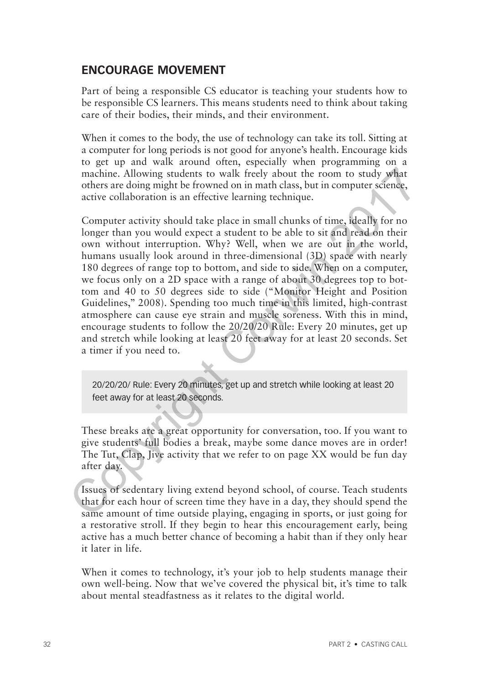## **ENCOURAGE MOVEMENT**

Part of being a responsible CS educator is teaching your students how to be responsible CS learners. This means students need to think about taking care of their bodies, their minds, and their environment.

When it comes to the body, the use of technology can take its toll. Sitting at a computer for long periods is not good for anyone's health. Encourage kids to get up and walk around often, especially when programming on a machine. Allowing students to walk freely about the room to study what others are doing might be frowned on in math class, but in computer science, active collaboration is an effective learning technique.

Computer activity should take place in small chunks of time, ideally for no longer than you would expect a student to be able to sit and read on their own without interruption. Why? Well, when we are out in the world, humans usually look around in three-dimensional (3D) space with nearly 180 degrees of range top to bottom, and side to side. When on a computer, we focus only on a 2D space with a range of about 30 degrees top to bottom and 40 to 50 degrees side to side ("Monitor Height and Position Guidelines," 2008). Spending too much time in this limited, high-contrast atmosphere can cause eye strain and muscle soreness. With this in mind, encourage students to follow the 20/20/20 Rule: Every 20 minutes, get up and stretch while looking at least 20 feet away for at least 20 seconds. Set a timer if you need to. machine. Allowing students to walk freely about the room to study what<br>others are doing might be frowned on in math class, but in computer science,<br>active collaboration is an effective learning technique.<br>Computer activit

20/20/20/ Rule: Every 20 minutes, get up and stretch while looking at least 20 feet away for at least 20 seconds.

These breaks are a great opportunity for conversation, too. If you want to give students' full bodies a break, maybe some dance moves are in order! The Tut, Clap, Jive activity that we refer to on page XX would be fun day after day.

Issues of sedentary living extend beyond school, of course. Teach students that for each hour of screen time they have in a day, they should spend the same amount of time outside playing, engaging in sports, or just going for a restorative stroll. If they begin to hear this encouragement early, being active has a much better chance of becoming a habit than if they only hear it later in life.

When it comes to technology, it's your job to help students manage their own well-being. Now that we've covered the physical bit, it's time to talk about mental steadfastness as it relates to the digital world.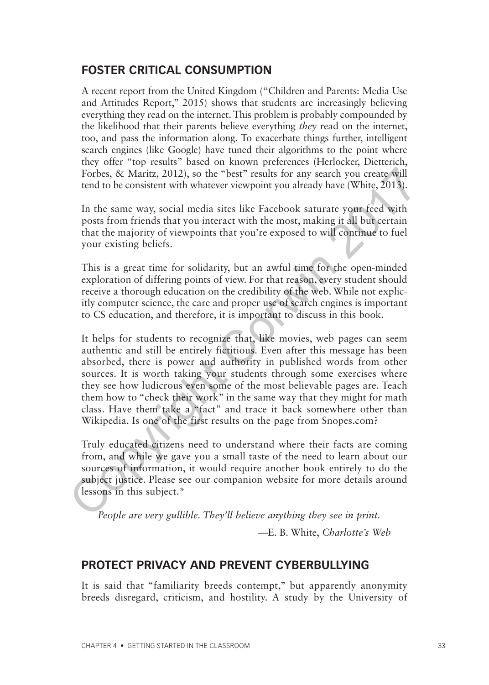## **FOSTER CRITICAL CONSUMPTION**

A recent report from the United Kingdom ("Children and Parents: Media Use and Attitudes Report," 2015) shows that students are increasingly believing everything they read on the internet. This problem is probably compounded by the likelihood that their parents believe everything *they* read on the internet, too, and pass the information along. To exacerbate things further, intelligent search engines (like Google) have tuned their algorithms to the point where they offer "top results" based on known preferences (Herlocker, Dietterich, Forbes, & Maritz, 2012), so the "best" results for any search you create will tend to be consistent with whatever viewpoint you already have (White, 2013).

In the same way, social media sites like Facebook saturate your feed with posts from friends that you interact with the most, making it all but certain that the majority of viewpoints that you're exposed to will continue to fuel your existing beliefs.

This is a great time for solidarity, but an awful time for the open-minded exploration of differing points of view. For that reason, every student should receive a thorough education on the credibility of the web. While not explicitly computer science, the care and proper use of search engines is important to CS education, and therefore, it is important to discuss in this book.

It helps for students to recognize that, like movies, web pages can seem authentic and still be entirely fictitious. Even after this message has been absorbed, there is power and authority in published words from other sources. It is worth taking your students through some exercises where they see how ludicrous even some of the most believable pages are. Teach them how to "check their work" in the same way that they might for math class. Have them take a "fact" and trace it back somewhere other than Wikipedia. Is one of the first results on the page from Snopes.com? Forbes, & Maritz, 2012), so the "best" results for any search you create will<br>tend to be consistent with whatever viewpoint you already have (White, 2013).<br>In the same way, social media sites like Facebook statuate your f

Truly educated citizens need to understand where their facts are coming from, and while we gave you a small taste of the need to learn about our sources of information, it would require another book entirely to do the subject justice. Please see our companion website for more details around lessons in this subject.\*

*People are very gullible. They'll believe anything they see in print.*

—E. B. White, *Charlotte's Web*

# **PROTECT PRIVACY AND PREVENT CYBERBULLYING**

It is said that "familiarity breeds contempt," but apparently anonymity breeds disregard, criticism, and hostility. A study by the University of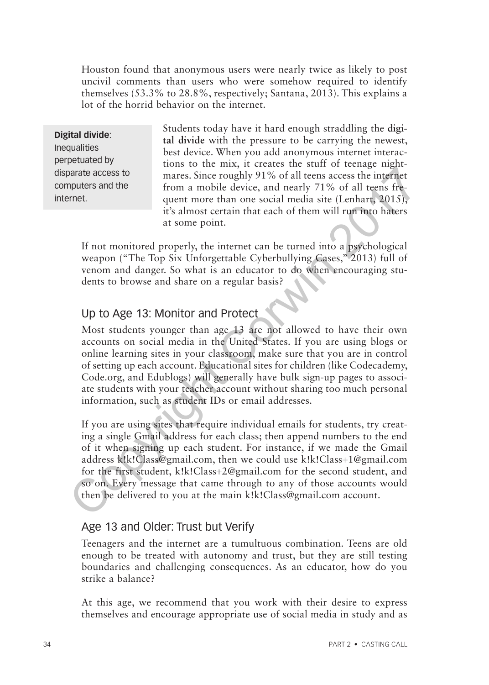Houston found that anonymous users were nearly twice as likely to post uncivil comments than users who were somehow required to identify themselves (53.3% to 28.8%, respectively; Santana, 2013). This explains a lot of the horrid behavior on the internet.

**Digital divide**: Inequalities perpetuated by disparate access to computers and the internet.

Students today have it hard enough straddling the **digital divide** with the pressure to be carrying the newest, best device. When you add anonymous internet interactions to the mix, it creates the stuff of teenage nightmares. Since roughly 91% of all teens access the internet from a mobile device, and nearly 71% of all teens frequent more than one social media site (Lenhart, 2015), it's almost certain that each of them will run into haters at some point.

If not monitored properly, the internet can be turned into a psychological weapon ("The Top Six Unforgettable Cyberbullying Cases," 2013) full of venom and danger. So what is an educator to do when encouraging students to browse and share on a regular basis?

# Up to Age 13: Monitor and Protect

Most students younger than age 13 are not allowed to have their own accounts on social media in the United States. If you are using blogs or online learning sites in your classroom, make sure that you are in control of setting up each account. Educational sites for children (like Codecademy, Code.org, and Edublogs) will generally have bulk sign-up pages to associate students with your teacher account without sharing too much personal information, such as student IDs or email addresses.

If you are using sites that require individual emails for students, try creating a single Gmail address for each class; then append numbers to the end of it when signing up each student. For instance, if we made the Gmail address k!k!Class@gmail.com, then we could use k!k!Class+1@gmail.com for the first student, k!k!Class+2@gmail.com for the second student, and so on. Every message that came through to any of those accounts would then be delivered to you at the main k!k!Class@gmail.com account. orate access to<br>
mares. Since roughly 91% of all teens access the internet<br>
more an mobile device, and nearly 71% of all teens access the internet<br>
from a mobile device, and nearly 71% of all teens fre-<br>
quent more than on

### Age 13 and Older: Trust but Verify

Teenagers and the internet are a tumultuous combination. Teens are old enough to be treated with autonomy and trust, but they are still testing boundaries and challenging consequences. As an educator, how do you strike a balance?

At this age, we recommend that you work with their desire to express themselves and encourage appropriate use of social media in study and as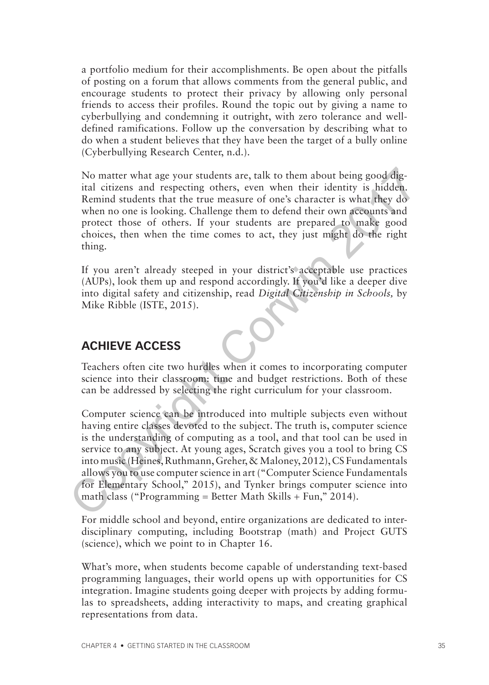a portfolio medium for their accomplishments. Be open about the pitfalls of posting on a forum that allows comments from the general public, and encourage students to protect their privacy by allowing only personal friends to access their profiles. Round the topic out by giving a name to cyberbullying and condemning it outright, with zero tolerance and welldefined ramifications. Follow up the conversation by describing what to do when a student believes that they have been the target of a bully online (Cyberbullying Research Center, n.d.).

No matter what age your students are, talk to them about being good digital citizens and respecting others, even when their identity is hidden. Remind students that the true measure of one's character is what they do when no one is looking. Challenge them to defend their own accounts and protect those of others. If your students are prepared to make good choices, then when the time comes to act, they just might do the right thing.

If you aren't already steeped in your district's acceptable use practices (AUPs), look them up and respond accordingly. If you'd like a deeper dive into digital safety and citizenship, read *Digital Citizenship in Schools,* by Mike Ribble (ISTE, 2015).

## **ACHIEVE ACCESS**

Teachers often cite two hurdles when it comes to incorporating computer science into their classroom: time and budget restrictions. Both of these can be addressed by selecting the right curriculum for your classroom.

Computer science can be introduced into multiple subjects even without having entire classes devoted to the subject. The truth is, computer science is the understanding of computing as a tool, and that tool can be used in service to any subject. At young ages, Scratch gives you a tool to bring CS into music (Heines, Ruthmann, Greher, & Maloney, 2012), CS Fundamentals allows you to use computer science in art ("Computer Science Fundamentals for Elementary School," 2015), and Tynker brings computer science into math class ("Programming = Better Math Skills + Fun," 2014). No matter what age your students are, talk to them about being good digital citizens and respecting onehas, even when their identity is hidden.<br>Remind students that the true measure of one's character is what they do<br>when

For middle school and beyond, entire organizations are dedicated to interdisciplinary computing, including Bootstrap (math) and Project GUTS (science), which we point to in Chapter 16.

What's more, when students become capable of understanding text-based programming languages, their world opens up with opportunities for CS integration. Imagine students going deeper with projects by adding formulas to spreadsheets, adding interactivity to maps, and creating graphical representations from data.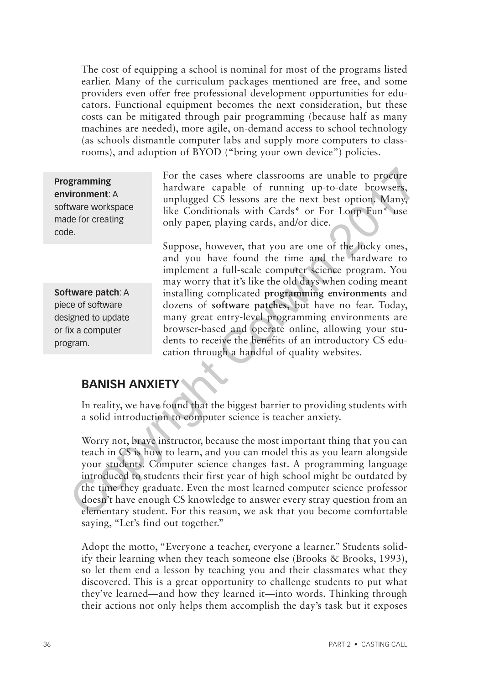The cost of equipping a school is nominal for most of the programs listed earlier. Many of the curriculum packages mentioned are free, and some providers even offer free professional development opportunities for educators. Functional equipment becomes the next consideration, but these costs can be mitigated through pair programming (because half as many machines are needed), more agile, on-demand access to school technology (as schools dismantle computer labs and supply more computers to classrooms), and adoption of BYOD ("bring your own device") policies.

**Programming environment**: A software workspace made for creating code.

**Software patch**: A piece of software designed to update or fix a computer program.

For the cases where classrooms are unable to procure hardware capable of running up-to-date browsers, unplugged CS lessons are the next best option. Many, like Conditionals with Cards\* or For Loop Fun\* use only paper, playing cards, and/or dice.

Suppose, however, that you are one of the lucky ones, and you have found the time and the hardware to implement a full-scale computer science program. You may worry that it's like the old days when coding meant installing complicated **programming environments** and dozens of **software patches**, but have no fear. Today, many great entry-level programming environments are browser-based and operate online, allowing your students to receive the benefits of an introductory CS education through a handful of quality websites. **EXEREM**<br>
For the cases where classrooms are unable to procure<br>
implinged CS lessons are the next best orbivoxes,<br>
wave undplugged CS lessons are the next best orbivoxes,<br>
the for creating<br>
die for creating<br>
die for creat

### **BANISH ANXIETY**

In reality, we have found that the biggest barrier to providing students with a solid introduction to computer science is teacher anxiety.

Worry not, brave instructor, because the most important thing that you can teach in CS is how to learn, and you can model this as you learn alongside your students. Computer science changes fast. A programming language introduced to students their first year of high school might be outdated by the time they graduate. Even the most learned computer science professor doesn't have enough CS knowledge to answer every stray question from an elementary student. For this reason, we ask that you become comfortable saying, "Let's find out together."

Adopt the motto, "Everyone a teacher, everyone a learner." Students solidify their learning when they teach someone else (Brooks & Brooks, 1993), so let them end a lesson by teaching you and their classmates what they discovered. This is a great opportunity to challenge students to put what they've learned—and how they learned it—into words. Thinking through their actions not only helps them accomplish the day's task but it exposes